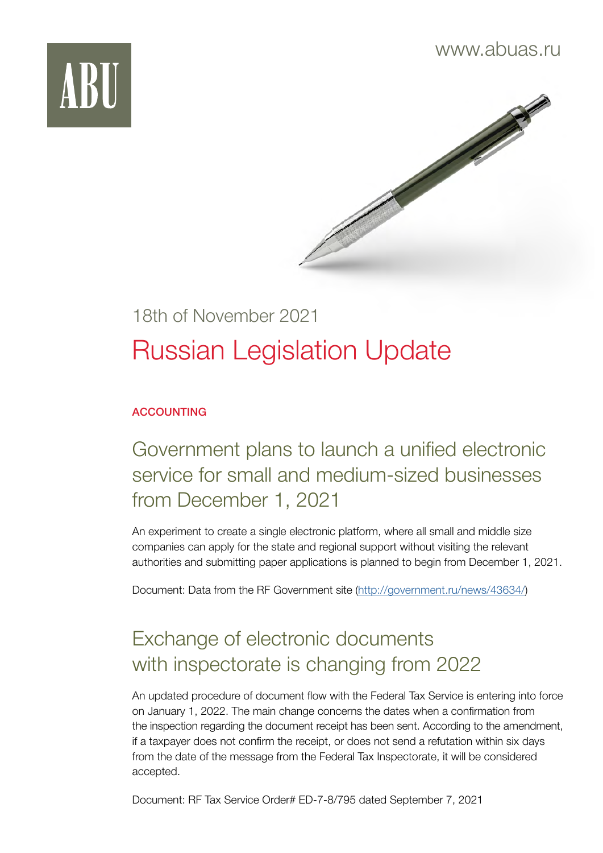



# 18th of November 2021 Russian Legislation Update

#### ACCOUNTING

Government plans to launch a unified electronic service for small and medium-sized businesses from December 1, 2021

An experiment to create a single electronic platform, where all small and middle size companies can apply for the state and regional support without visiting the relevant authorities and submitting paper applications is planned to begin from December 1, 2021.

Document: Data from the RF Government site ([http://government.ru/news/43634/\)](http://government.ru/news/43634/)

## Exchange of electronic documents with inspectorate is changing from 2022

An updated procedure of document flow with the Federal Tax Service is entering into force on January 1, 2022. The main change concerns the dates when a confirmation from the inspection regarding the document receipt has been sent. According to the amendment, if a taxpayer does not confirm the receipt, or does not send a refutation within six days from the date of the message from the Federal Tax Inspectorate, it will be considered accepted.

Document: RF Tax Service Order# ED-7-8/795 dated September 7, 2021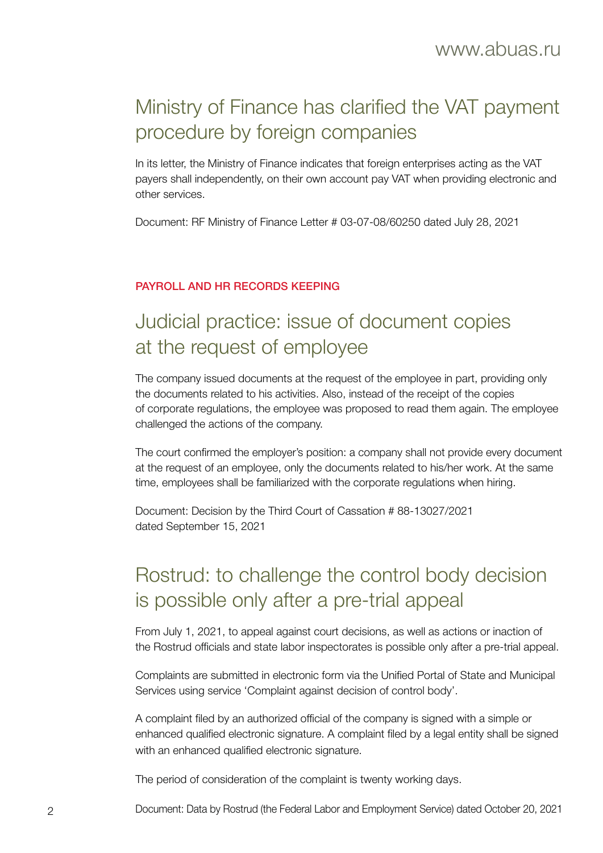## Ministry of Finance has clarified the VAT payment procedure by foreign companies

In its letter, the Ministry of Finance indicates that foreign enterprises acting as the VAT payers shall independently, on their own account pay VAT when providing electronic and other services.

Document: RF Ministry of Finance Letter # 03-07-08/60250 dated July 28, 2021

#### PAYROLL AND HR RECORDS KEEPING

#### Judicial practice: issue of document copies at the request of employee

The company issued documents at the request of the employee in part, providing only the documents related to his activities. Also, instead of the receipt of the copies of corporate regulations, the employee was proposed to read them again. The employee challenged the actions of the company.

The court confirmed the employer's position: a company shall not provide every document at the request of an employee, only the documents related to his/her work. At the same time, employees shall be familiarized with the corporate regulations when hiring.

Document: Decision by the Third Court of Cassation # 88-13027/2021 dated September 15, 2021

### Rostrud: to challenge the control body decision is possible only after a pre-trial appeal

From July 1, 2021, to appeal against court decisions, as well as actions or inaction of the Rostrud officials and state labor inspectorates is possible only after a pre-trial appeal.

Complaints are submitted in electronic form via the Unified Portal of State and Municipal Services using service 'Complaint against decision of control body'.

A complaint filed by an authorized official of the company is signed with a simple or enhanced qualified electronic signature. A complaint filed by a legal entity shall be signed with an enhanced qualified electronic signature.

The period of consideration of the complaint is twenty working days.

2 Document: Data by Rostrud (the Federal Labor and Employment Service) dated October 20, 2021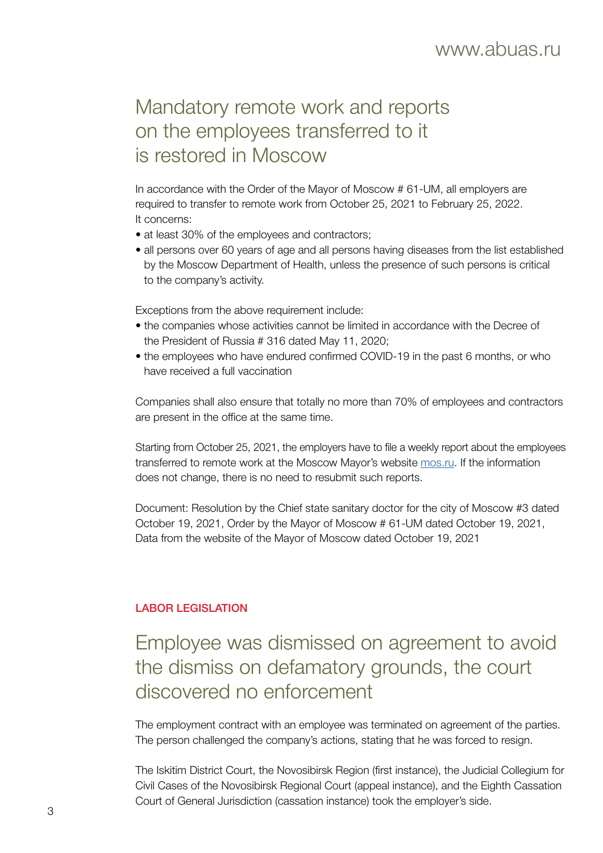### Mandatory remote work and reports on the employees transferred to it is restored in Moscow

In accordance with the Order of the Mayor of Moscow # 61-UM, all employers are required to transfer to remote work from October 25, 2021 to February 25, 2022. It concerns:

- at least 30% of the employees and contractors;
- all persons over 60 years of age and all persons having diseases from the list established by the Moscow Department of Health, unless the presence of such persons is critical to the company's activity.

Exceptions from the above requirement include:

- the companies whose activities cannot be limited in accordance with the Decree of the President of Russia # 316 dated May 11, 2020;
- the employees who have endured confirmed COVID-19 in the past 6 months, or who have received a full vaccination

Companies shall also ensure that totally no more than 70% of employees and contractors are present in the office at the same time.

Starting from October 25, 2021, the employers have to file a weekly report about the employees transferred to remote work at the Moscow Mayor's website [mos.ru.](http://mos.ru) If the information does not change, there is no need to resubmit such reports.

Document: Resolution by the Chief state sanitary doctor for the city of Moscow #3 dated October 19, 2021, Order by the Mayor of Moscow # 61-UM dated October 19, 2021, Data from the website of the Mayor of Moscow dated October 19, 2021

#### LABOR LEGISLATION

#### Employee was dismissed on agreement to avoid the dismiss on defamatory grounds, the court discovered no enforcement

The employment contract with an employee was terminated on agreement of the parties. The person challenged the company's actions, stating that he was forced to resign.

The Iskitim District Court, the Novosibirsk Region (first instance), the Judicial Collegium for Civil Cases of the Novosibirsk Regional Court (appeal instance), and the Eighth Cassation Court of General Jurisdiction (cassation instance) took the employer's side.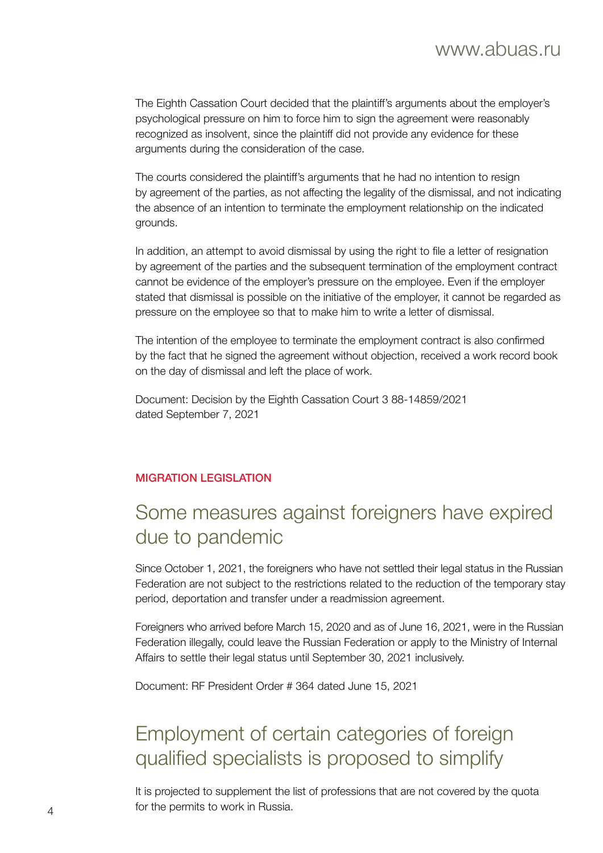The Eighth Cassation Court decided that the plaintiff's arguments about the employer's psychological pressure on him to force him to sign the agreement were reasonably recognized as insolvent, since the plaintiff did not provide any evidence for these arguments during the consideration of the case.

The courts considered the plaintiff's arguments that he had no intention to resign by agreement of the parties, as not affecting the legality of the dismissal, and not indicating the absence of an intention to terminate the employment relationship on the indicated grounds.

In addition, an attempt to avoid dismissal by using the right to file a letter of resignation by agreement of the parties and the subsequent termination of the employment contract cannot be evidence of the employer's pressure on the employee. Even if the employer stated that dismissal is possible on the initiative of the employer, it cannot be regarded as pressure on the employee so that to make him to write a letter of dismissal.

The intention of the employee to terminate the employment contract is also confirmed by the fact that he signed the agreement without objection, received a work record book on the day of dismissal and left the place of work.

Document: Decision by the Eighth Cassation Court 3 88-14859/2021 dated September 7, 2021

#### MIGRATION LEGISLATION

#### Some measures against foreigners have expired due to pandemic

Since October 1, 2021, the foreigners who have not settled their legal status in the Russian Federation are not subject to the restrictions related to the reduction of the temporary stay period, deportation and transfer under a readmission agreement.

Foreigners who arrived before March 15, 2020 and as of June 16, 2021, were in the Russian Federation illegally, could leave the Russian Federation or apply to the Ministry of Internal Affairs to settle their legal status until September 30, 2021 inclusively.

Document: RF President Order # 364 dated June 15, 2021

### Employment of certain categories of foreign qualified specialists is proposed to simplify

It is projected to supplement the list of professions that are not covered by the quota for the permits to work in Russia. <sup>4</sup>